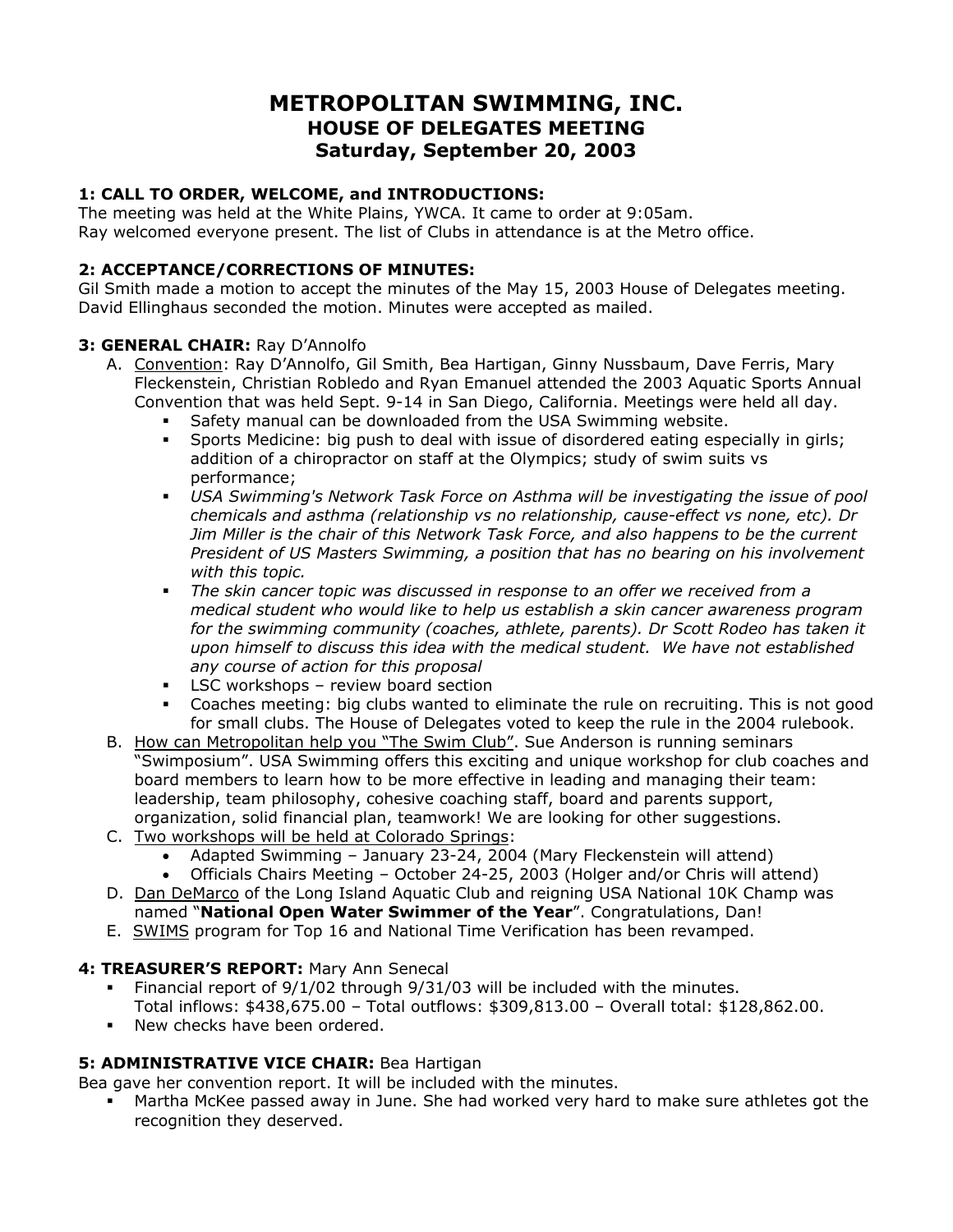# **METROPOLITAN SWIMMING, INC. HOUSE OF DELEGATES MEETING Saturday, September 20, 2003**

### **1: CALL TO ORDER, WELCOME, and INTRODUCTIONS:**

The meeting was held at the White Plains, YWCA. It came to order at 9:05am. Ray welcomed everyone present. The list of Clubs in attendance is at the Metro office.

### **2: ACCEPTANCE/CORRECTIONS OF MINUTES:**

Gil Smith made a motion to accept the minutes of the May 15, 2003 House of Delegates meeting. David Ellinghaus seconded the motion. Minutes were accepted as mailed.

#### **3: GENERAL CHAIR:** Ray D'Annolfo

- A. Convention: Ray D'Annolfo, Gil Smith, Bea Hartigan, Ginny Nussbaum, Dave Ferris, Mary Fleckenstein, Christian Robledo and Ryan Emanuel attended the 2003 Aquatic Sports Annual Convention that was held Sept. 9-14 in San Diego, California. Meetings were held all day.
	- Safety manual can be downloaded from the USA Swimming website.
	- Sports Medicine: big push to deal with issue of disordered eating especially in girls; addition of a chiropractor on staff at the Olympics; study of swim suits vs performance;
	- *USA Swimming's Network Task Force on Asthma will be investigating the issue of pool chemicals and asthma (relationship vs no relationship, cause-effect vs none, etc). Dr Jim Miller is the chair of this Network Task Force, and also happens to be the current President of US Masters Swimming, a position that has no bearing on his involvement with this topic.*
	- *The skin cancer topic was discussed in response to an offer we received from a medical student who would like to help us establish a skin cancer awareness program for the swimming community (coaches, athlete, parents). Dr Scott Rodeo has taken it upon himself to discuss this idea with the medical student. We have not established any course of action for this proposal*
	- **LSC workshops review board section**
	- Coaches meeting: big clubs wanted to eliminate the rule on recruiting. This is not good for small clubs. The House of Delegates voted to keep the rule in the 2004 rulebook.
- B. How can Metropolitan help you "The Swim Club". Sue Anderson is running seminars "Swimposium". USA Swimming offers this exciting and unique workshop for club coaches and board members to learn how to be more effective in leading and managing their team: leadership, team philosophy, cohesive coaching staff, board and parents support, organization, solid financial plan, teamwork! We are looking for other suggestions.
- C. Two workshops will be held at Colorado Springs:
	- Adapted Swimming January 23-24, 2004 (Mary Fleckenstein will attend)
	- Officials Chairs Meeting October 24-25, 2003 (Holger and/or Chris will attend)
- D. Dan DeMarco of the Long Island Aquatic Club and reigning USA National 10K Champ was named "**National Open Water Swimmer of the Year**". Congratulations, Dan!
- E. SWIMS program for Top 16 and National Time Verification has been revamped.

### **4: TREASURER'S REPORT:** Mary Ann Senecal

- Financial report of 9/1/02 through 9/31/03 will be included with the minutes. Total inflows: \$438,675.00 – Total outflows: \$309,813.00 – Overall total: \$128,862.00.
- **New checks have been ordered.**

### **5: ADMINISTRATIVE VICE CHAIR:** Bea Hartigan

Bea gave her convention report. It will be included with the minutes.

 Martha McKee passed away in June. She had worked very hard to make sure athletes got the recognition they deserved.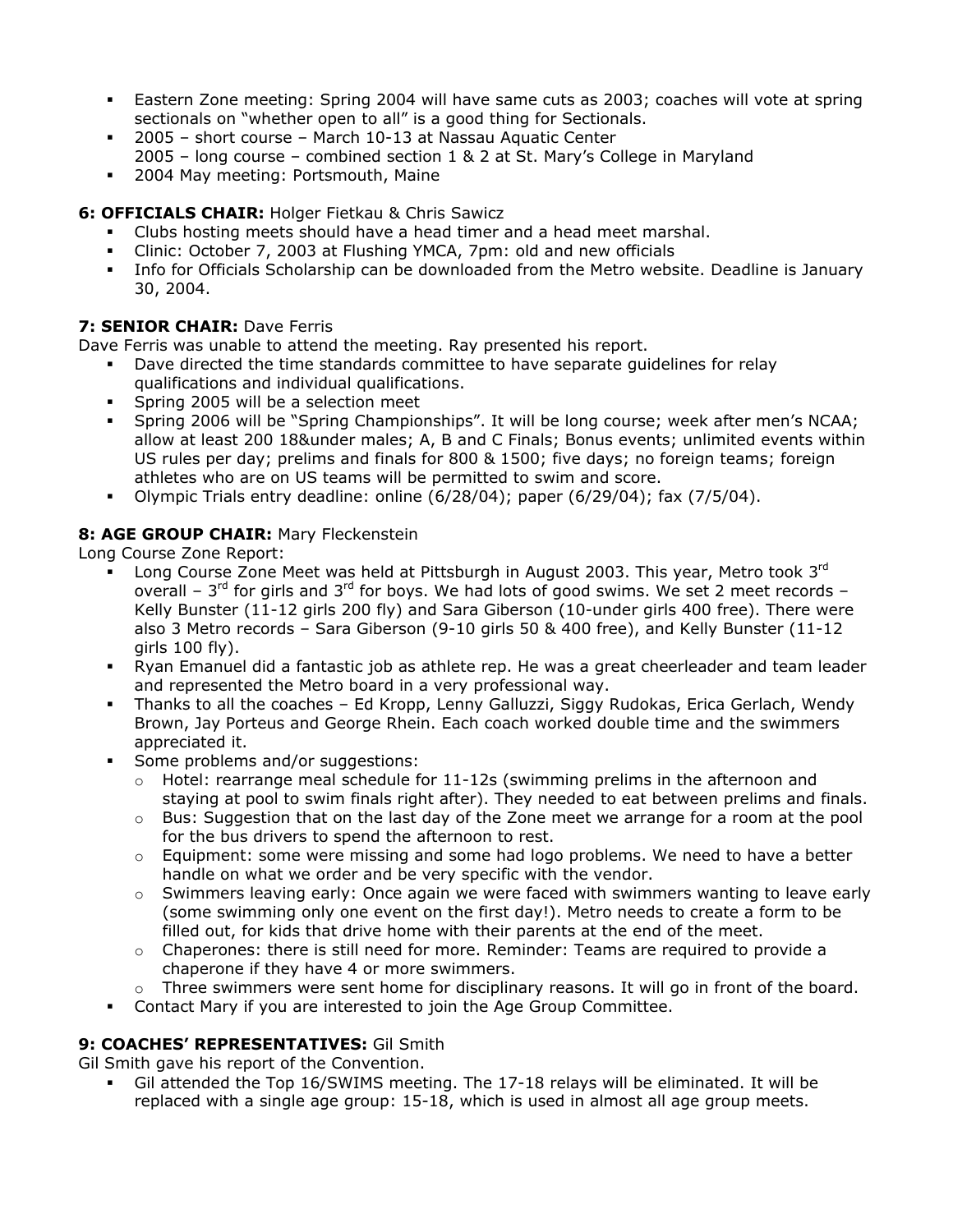- Eastern Zone meeting: Spring 2004 will have same cuts as 2003; coaches will vote at spring sectionals on "whether open to all" is a good thing for Sectionals.
- 2005 short course March 10-13 at Nassau Aquatic Center
- 2005 long course combined section 1 & 2 at St. Mary's College in Maryland
- **2004 May meeting: Portsmouth, Maine**

## **6: OFFICIALS CHAIR:** Holger Fietkau & Chris Sawicz

- Clubs hosting meets should have a head timer and a head meet marshal.
- Clinic: October 7, 2003 at Flushing YMCA, 7pm: old and new officials
- Info for Officials Scholarship can be downloaded from the Metro website. Deadline is January 30, 2004.

## **7: SENIOR CHAIR: Dave Ferris**

Dave Ferris was unable to attend the meeting. Ray presented his report.

- Dave directed the time standards committee to have separate guidelines for relay qualifications and individual qualifications.
- Spring 2005 will be a selection meet
- Spring 2006 will be "Spring Championships". It will be long course; week after men's NCAA; allow at least 200 18&under males; A, B and C Finals; Bonus events; unlimited events within US rules per day; prelims and finals for 800 & 1500; five days; no foreign teams; foreign athletes who are on US teams will be permitted to swim and score.
- Olympic Trials entry deadline: online (6/28/04); paper (6/29/04); fax (7/5/04).

## **8: AGE GROUP CHAIR:** Mary Fleckenstein

Long Course Zone Report:

- **Long Course Zone Meet was held at Pittsburgh in August 2003. This year, Metro took 3rd** overall –  $3^{rd}$  for girls and  $3^{rd}$  for boys. We had lots of good swims. We set 2 meet records – Kelly Bunster (11-12 girls 200 fly) and Sara Giberson (10-under girls 400 free). There were also 3 Metro records – Sara Giberson (9-10 girls 50 & 400 free), and Kelly Bunster (11-12 airls  $100$  fly).
- Ryan Emanuel did a fantastic job as athlete rep. He was a great cheerleader and team leader and represented the Metro board in a very professional way.
- Thanks to all the coaches Ed Kropp, Lenny Galluzzi, Siggy Rudokas, Erica Gerlach, Wendy Brown, Jay Porteus and George Rhein. Each coach worked double time and the swimmers appreciated it.
- Some problems and/or suggestions:
	- $\circ$  Hotel: rearrange meal schedule for 11-12s (swimming prelims in the afternoon and staying at pool to swim finals right after). They needed to eat between prelims and finals.
	- $\circ$  Bus: Suggestion that on the last day of the Zone meet we arrange for a room at the pool for the bus drivers to spend the afternoon to rest.
	- $\circ$  Equipment: some were missing and some had logo problems. We need to have a better handle on what we order and be very specific with the vendor.
	- $\circ$  Swimmers leaving early: Once again we were faced with swimmers wanting to leave early (some swimming only one event on the first day!). Metro needs to create a form to be filled out, for kids that drive home with their parents at the end of the meet.
	- $\circ$  Chaperones: there is still need for more. Reminder: Teams are required to provide a chaperone if they have 4 or more swimmers.
	- $\circ$  Three swimmers were sent home for disciplinary reasons. It will go in front of the board.
- Contact Mary if you are interested to join the Age Group Committee.

### **9: COACHES' REPRESENTATIVES:** Gil Smith

Gil Smith gave his report of the Convention.

 Gil attended the Top 16/SWIMS meeting. The 17-18 relays will be eliminated. It will be replaced with a single age group: 15-18, which is used in almost all age group meets.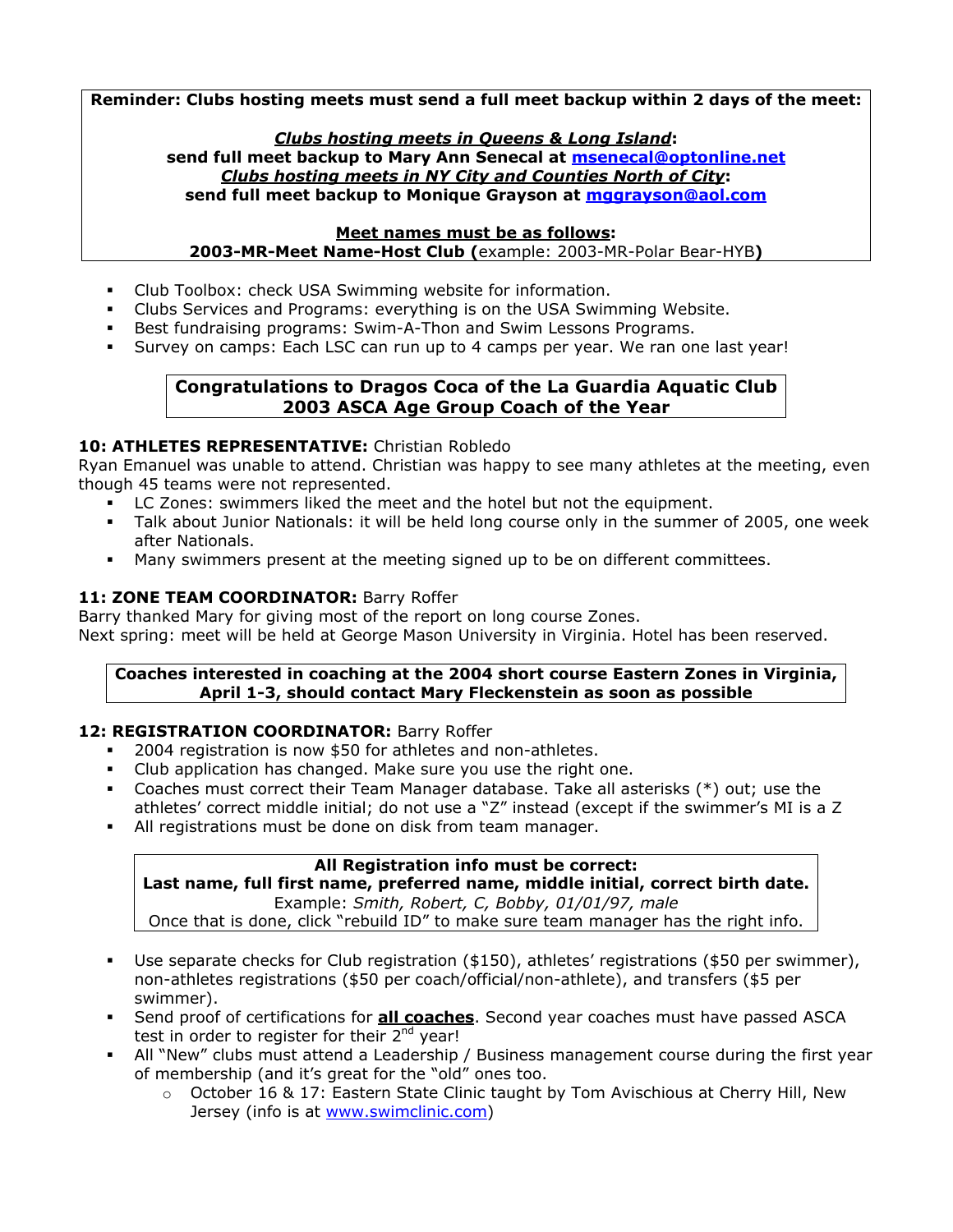**Reminder: Clubs hosting meets must send a full meet backup within 2 days of the meet:** 

#### *Clubs hosting meets in Queens & Long Island***:**

**send full meet backup to Mary Ann Senecal at [msenecal@optonline.net](mailto:msenecal@optonline.net)** *Clubs hosting meets in NY City and Counties North of City***: send full meet backup to Monique Grayson at [mggrayson@aol.com](mailto:mggrayson@aol.com)**

#### **Meet names must be as follows:**

**2003-MR-Meet Name-Host Club (**example: 2003-MR-Polar Bear-HYB**)** 

- Club Toolbox: check USA Swimming website for information.
- Clubs Services and Programs: everything is on the USA Swimming Website.
- Best fundraising programs: Swim-A-Thon and Swim Lessons Programs.
- Survey on camps: Each LSC can run up to 4 camps per year. We ran one last year!

#### **Congratulations to Dragos Coca of the La Guardia Aquatic Club 2003 ASCA Age Group Coach of the Year**

### **10: ATHLETES REPRESENTATIVE:** Christian Robledo

Ryan Emanuel was unable to attend. Christian was happy to see many athletes at the meeting, even though 45 teams were not represented.

- LC Zones: swimmers liked the meet and the hotel but not the equipment.
- Talk about Junior Nationals: it will be held long course only in the summer of 2005, one week after Nationals.
- Many swimmers present at the meeting signed up to be on different committees.

### 11: **ZONE TEAM COORDINATOR: Barry Roffer**

Barry thanked Mary for giving most of the report on long course Zones. Next spring: meet will be held at George Mason University in Virginia. Hotel has been reserved.

#### **Coaches interested in coaching at the 2004 short course Eastern Zones in Virginia, April 1-3, should contact Mary Fleckenstein as soon as possible**

### **12: REGISTRATION COORDINATOR:** Barry Roffer

- 2004 registration is now \$50 for athletes and non-athletes.
- Club application has changed. Make sure you use the right one.
- Coaches must correct their Team Manager database. Take all asterisks (\*) out; use the athletes' correct middle initial; do not use a "Z" instead (except if the swimmer's MI is a Z
- All registrations must be done on disk from team manager.

#### **All Registration info must be correct:**

**Last name, full first name, preferred name, middle initial, correct birth date.**  Example: *Smith, Robert, C, Bobby, 01/01/97, male*

Once that is done, click "rebuild ID" to make sure team manager has the right info.

- Use separate checks for Club registration (\$150), athletes' registrations (\$50 per swimmer), non-athletes registrations (\$50 per coach/official/non-athlete), and transfers (\$5 per swimmer).
- Send proof of certifications for **all coaches**. Second year coaches must have passed ASCA test in order to register for their  $2<sup>nd</sup>$  year!
- All "New" clubs must attend a Leadership / Business management course during the first year of membership (and it's great for the "old" ones too.
	- $\circ$  October 16 & 17: Eastern State Clinic taught by Tom Avischious at Cherry Hill, New Jersey (info is at [www.swimclinic.com](http://www.swimclinic.com/))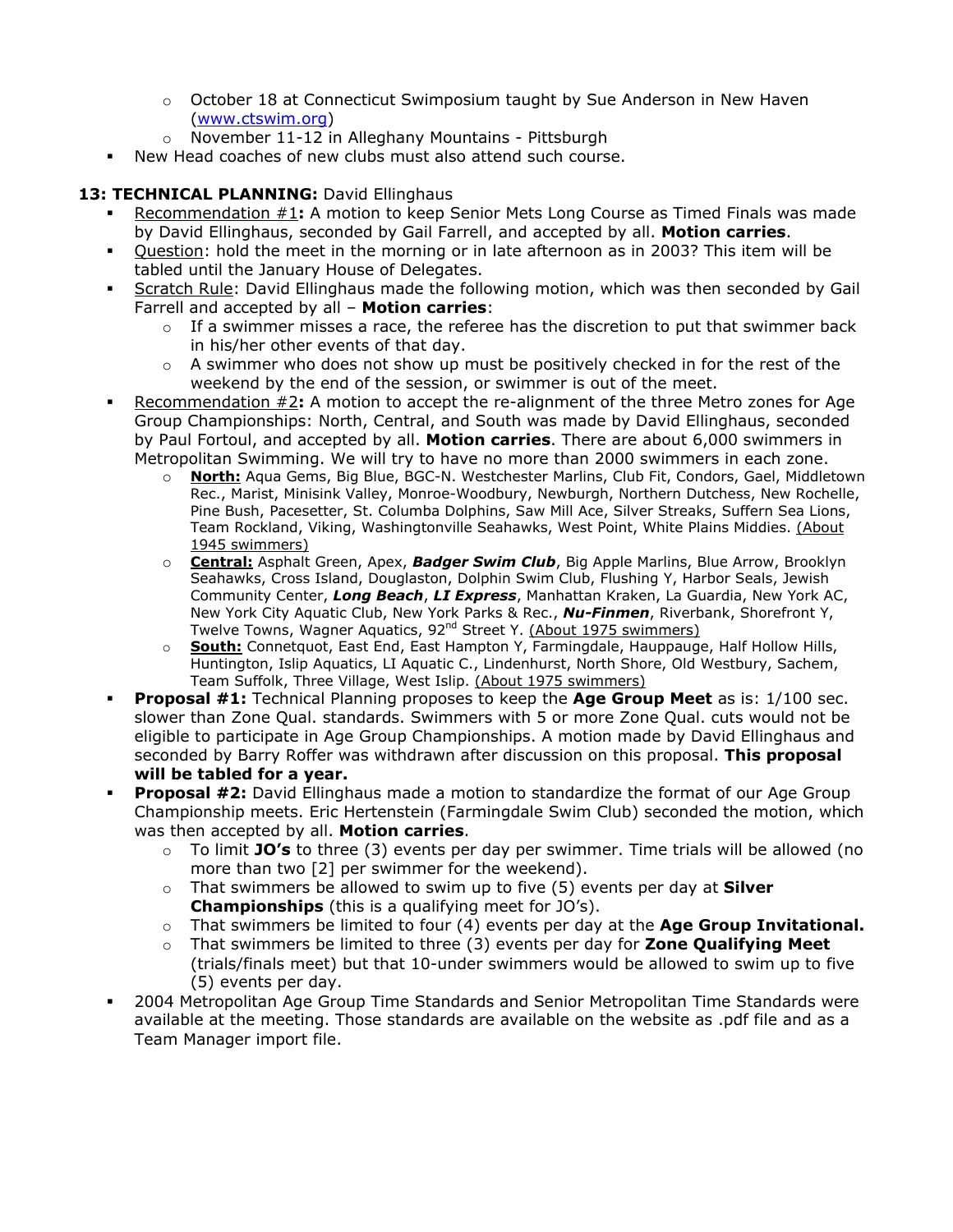- $\circ$  October 18 at Connecticut Swimposium taught by Sue Anderson in New Haven ([www.ctswim.org](http://www.ctswim.org/))
- o November 11-12 in Alleghany Mountains Pittsburgh
- New Head coaches of new clubs must also attend such course.

### 13: TECHNICAL PLANNING: David Ellinghaus

- Recommendation #1**:** A motion to keep Senior Mets Long Course as Timed Finals was made by David Ellinghaus, seconded by Gail Farrell, and accepted by all. **Motion carries**.
- Question: hold the meet in the morning or in late afternoon as in 2003? This item will be tabled until the January House of Delegates.
- Scratch Rule: David Ellinghaus made the following motion, which was then seconded by Gail Farrell and accepted by all – **Motion carries**:
	- $\circ$  If a swimmer misses a race, the referee has the discretion to put that swimmer back in his/her other events of that day.
	- $\circ$  A swimmer who does not show up must be positively checked in for the rest of the weekend by the end of the session, or swimmer is out of the meet.
- Recommendation #2**:** A motion to accept the re-alignment of the three Metro zones for Age Group Championships: North, Central, and South was made by David Ellinghaus, seconded by Paul Fortoul, and accepted by all. **Motion carries**. There are about 6,000 swimmers in Metropolitan Swimming. We will try to have no more than 2000 swimmers in each zone.
	- o **North:** Aqua Gems, Big Blue, BGC-N. Westchester Marlins, Club Fit, Condors, Gael, Middletown Rec., Marist, Minisink Valley, Monroe-Woodbury, Newburgh, Northern Dutchess, New Rochelle, Pine Bush, Pacesetter, St. Columba Dolphins, Saw Mill Ace, Silver Streaks, Suffern Sea Lions, Team Rockland, Viking, Washingtonville Seahawks, West Point, White Plains Middies. (About 1945 swimmers)
	- o **Central:** Asphalt Green, Apex, *Badger Swim Club*, Big Apple Marlins, Blue Arrow, Brooklyn Seahawks, Cross Island, Douglaston, Dolphin Swim Club, Flushing Y, Harbor Seals, Jewish Community Center, *Long Beach*, *LI Express*, Manhattan Kraken, La Guardia, New York AC, New York City Aquatic Club, New York Parks & Rec., *Nu-Finmen*, Riverbank, Shorefront Y, Twelve Towns, Wagner Aquatics, 92<sup>nd</sup> Street Y. (About 1975 swimmers)
	- o **South:** Connetquot, East End, East Hampton Y, Farmingdale, Hauppauge, Half Hollow Hills, Huntington, Islip Aquatics, LI Aquatic C., Lindenhurst, North Shore, Old Westbury, Sachem, Team Suffolk, Three Village, West Islip. (About 1975 swimmers)
- **Proposal #1:** Technical Planning proposes to keep the **Age Group Meet** as is: 1/100 sec. slower than Zone Qual. standards. Swimmers with 5 or more Zone Qual. cuts would not be eligible to participate in Age Group Championships. A motion made by David Ellinghaus and seconded by Barry Roffer was withdrawn after discussion on this proposal. **This proposal will be tabled for a year.**
- **Proposal #2:** David Ellinghaus made a motion to standardize the format of our Age Group Championship meets. Eric Hertenstein (Farmingdale Swim Club) seconded the motion, which was then accepted by all. **Motion carries**.
	- o To limit **JO's** to three (3) events per day per swimmer. Time trials will be allowed (no more than two [2] per swimmer for the weekend).
	- o That swimmers be allowed to swim up to five (5) events per day at **Silver Championships** (this is a qualifying meet for JO's).
	- o That swimmers be limited to four (4) events per day at the **Age Group Invitational.**
	- o That swimmers be limited to three (3) events per day for **Zone Qualifying Meet** (trials/finals meet) but that 10-under swimmers would be allowed to swim up to five (5) events per day.
- 2004 Metropolitan Age Group Time Standards and Senior Metropolitan Time Standards were available at the meeting. Those standards are available on the website as .pdf file and as a Team Manager import file.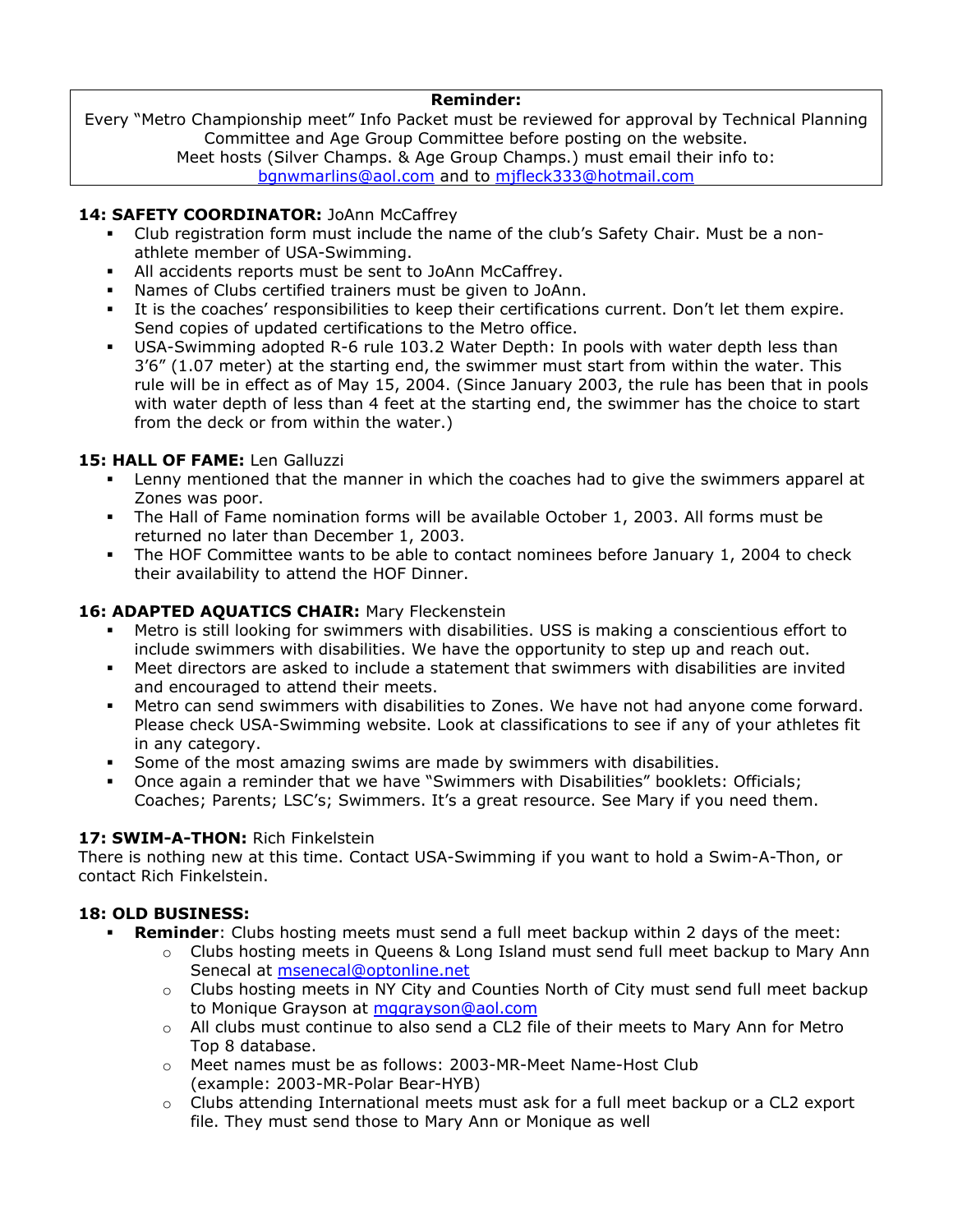#### **Reminder:**

Every "Metro Championship meet" Info Packet must be reviewed for approval by Technical Planning Committee and Age Group Committee before posting on the website. Meet hosts (Silver Champs. & Age Group Champs.) must email their info to:

[bgnwmarlins@aol.com](mailto:bgnwmarlins@aol.com) and to [mjfleck333@hotmail.com](mailto:mjfleck333@hotmail.com)

### 14: SAFETY COORDINATOR: JoAnn McCaffrey

- Club registration form must include the name of the club's Safety Chair. Must be a nonathlete member of USA-Swimming.
- All accidents reports must be sent to JoAnn McCaffrey.
- Names of Clubs certified trainers must be given to JoAnn.
- It is the coaches' responsibilities to keep their certifications current. Don't let them expire. Send copies of updated certifications to the Metro office.
- USA-Swimming adopted R-6 rule 103.2 Water Depth: In pools with water depth less than 3'6" (1.07 meter) at the starting end, the swimmer must start from within the water. This rule will be in effect as of May 15, 2004. (Since January 2003, the rule has been that in pools with water depth of less than 4 feet at the starting end, the swimmer has the choice to start from the deck or from within the water.)

## **15: HALL OF FAME:** Len Galluzzi

- Lenny mentioned that the manner in which the coaches had to give the swimmers apparel at Zones was poor.
- The Hall of Fame nomination forms will be available October 1, 2003. All forms must be returned no later than December 1, 2003.
- The HOF Committee wants to be able to contact nominees before January 1, 2004 to check their availability to attend the HOF Dinner.

## **16: ADAPTED AQUATICS CHAIR:** Mary Fleckenstein

- Metro is still looking for swimmers with disabilities. USS is making a conscientious effort to include swimmers with disabilities. We have the opportunity to step up and reach out.
- Meet directors are asked to include a statement that swimmers with disabilities are invited and encouraged to attend their meets.
- Metro can send swimmers with disabilities to Zones. We have not had anyone come forward. Please check USA-Swimming website. Look at classifications to see if any of your athletes fit in any category.
- Some of the most amazing swims are made by swimmers with disabilities.
- Once again a reminder that we have "Swimmers with Disabilities" booklets: Officials; Coaches; Parents; LSC's; Swimmers. It's a great resource. See Mary if you need them.

### **17: SWIM-A-THON:** Rich Finkelstein

There is nothing new at this time. Contact USA-Swimming if you want to hold a Swim-A-Thon, or contact Rich Finkelstein.

### **18: OLD BUSINESS:**

- **Reminder**: Clubs hosting meets must send a full meet backup within 2 days of the meet:
	- $\circ$  Clubs hosting meets in Queens & Long Island must send full meet backup to Mary Ann Senecal at [msenecal@optonline.net](mailto:msenecal@optonline.net)
	- $\circ$  Clubs hosting meets in NY City and Counties North of City must send full meet backup to Monique Grayson at [mggrayson@aol.com](mailto:mggrayson@aol.com)
	- $\circ$  All clubs must continue to also send a CL2 file of their meets to Mary Ann for Metro Top 8 database.
	- o Meet names must be as follows: 2003-MR-Meet Name-Host Club (example: 2003-MR-Polar Bear-HYB)
	- o Clubs attending International meets must ask for a full meet backup or a CL2 export file. They must send those to Mary Ann or Monique as well